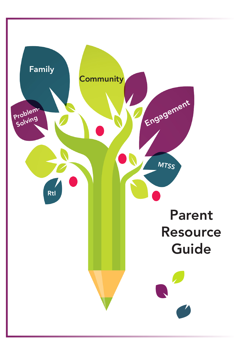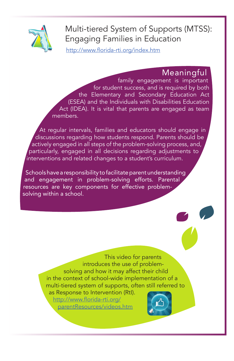

## Multi-tiered System of Supports (MTSS): Engaging Families in Education

http://www.florida-rti.org/index.htm

#### Meaningful

family engagement is important for student success, and is required by both the Elementary and Secondary Education Act (ESEA) and the Individuals with Disabilities Education Act (IDEA). It is vital that parents are engaged as team members.

At regular intervals, families and educators should engage in discussions regarding how students respond. Parents should be actively engaged in all steps of the problem-solving process, and, particularly, engaged in all decisions regarding adjustments to interventions and related changes to a student's curriculum.

Schools have a responsibility to facilitate parent understanding and engagement in problem-solving efforts. Parental resources are key components for effective problemsolving within a school.

> This video for parents introduces the use of problemsolving and how it may affect their child in the context of school-wide implementation of a multi-tiered system of supports, often still referred to

as Response to Intervention (RtI). [http://www.florida-rti.org/](http://www.florida-rti.org/parentResources/videos.htm) [parentResources/videos.htm](http://www.florida-rti.org/parentResources/videos.htm)

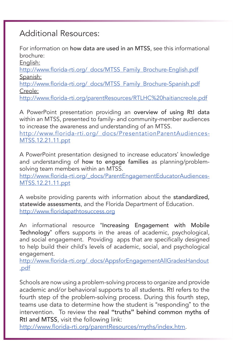#### Additional Resources:

For information on how data are used in an MTSS, see this informational brochure:

English:

http://www.florida-rti.org/\_docs/MTSS\_Family\_Brochure-English.pdf Spanish:

http://www.florida-rti.org/\_docs/MTSS\_Family\_Brochure-Spanish.pdf Creole:

http://www.florida-rti.org/parentResources/RTLHC%20haitiancreole.pdf

A PowerPoint presentation providing an overview of using RtI data within an MTSS, presented to family- and community-member audiences to increase the awareness and understanding of an MTSS.

http://www.florida-rti.org/\_docs/PresentationParentAudiences-MTSS.12.21.11.ppt

A PowerPoint presentation designed to increase educators' knowledge and understanding of how to engage families as planning/problemsolving team members within an MTSS.

http://www.florida-rti.org/\_docs/ParentEngagementEducatorAudiences-MTSS.12.21.11.ppt

A website providing parents with information about the standardized, statewide assessments, and the Florida Department of Education. http://www.floridapathtosuccess.org

An informational resource "Increasing Engagement with Mobile Technology" offers supports in the areas of academic, psychological, and social engagement. Providing apps that are specifically designed to help build their child's levels of academic, social, and psychological engagement.

http://www.florida-rti.org/\_docs/AppsforEngagementAllGradesHandout .pdf

Schools are now using a problem-solving process to organize and provide academic and/or behavioral supports to all students. RtI refers to the fourth step of the problem-solving process. During this fourth step, teams use data to determine how the student is "responding" to the intervention. To review the real **"**truths**"** behind common myths of RtI and MTSS, visit the following link:

http://www.florida-rti.org/parentResources/myths/index.htm.